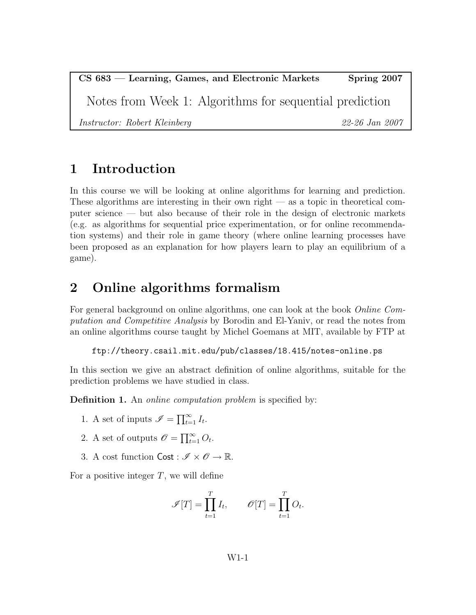| $CS$ 683 — Learning, Games, and Electronic Markets      | Spring 2007    |
|---------------------------------------------------------|----------------|
| Notes from Week 1: Algorithms for sequential prediction |                |
| <i>Instructor: Robert Kleinberg</i>                     | 22-26 Jan 2007 |

### 1 Introduction

In this course we will be looking at online algorithms for learning and prediction. These algorithms are interesting in their own right — as a topic in theoretical computer science — but also because of their role in the design of electronic markets (e.g. as algorithms for sequential price experimentation, or for online recommendation systems) and their role in game theory (where online learning processes have been proposed as an explanation for how players learn to play an equilibrium of a game).

### 2 Online algorithms formalism

For general background on online algorithms, one can look at the book Online Computation and Competitive Analysis by Borodin and El-Yaniv, or read the notes from an online algorithms course taught by Michel Goemans at MIT, available by FTP at

ftp://theory.csail.mit.edu/pub/classes/18.415/notes-online.ps

In this section we give an abstract definition of online algorithms, suitable for the prediction problems we have studied in class.

**Definition 1.** An *online computation problem* is specified by:

- 1. A set of inputs  $\mathscr{I} = \prod_{t=1}^{\infty} I_t$ .
- 2. A set of outputs  $\mathscr{O} = \prod_{t=1}^{\infty} O_t$ .
- 3. A cost function  $Cost : \mathscr{I} \times \mathscr{O} \to \mathbb{R}$ .

For a positive integer  $T$ , we will define

$$
\mathscr{I}[T] = \prod_{t=1}^{T} I_t, \qquad \mathscr{O}[T] = \prod_{t=1}^{T} O_t.
$$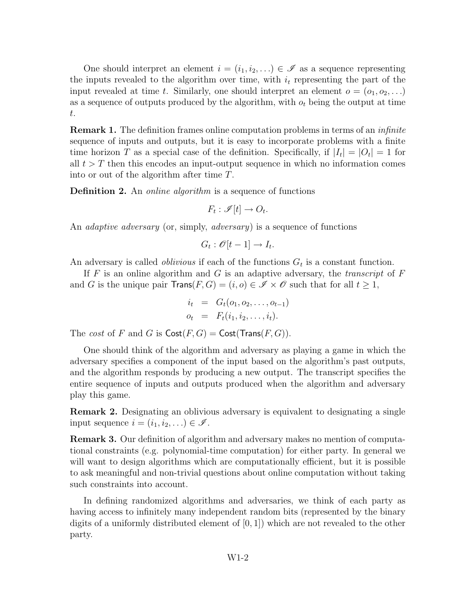One should interpret an element  $i = (i_1, i_2, \ldots) \in \mathscr{I}$  as a sequence representing the inputs revealed to the algorithm over time, with  $i_t$  representing the part of the input revealed at time t. Similarly, one should interpret an element  $o = (o_1, o_2, \ldots)$ as a sequence of outputs produced by the algorithm, with  $o_t$  being the output at time t.

**Remark 1.** The definition frames online computation problems in terms of an *infinite* sequence of inputs and outputs, but it is easy to incorporate problems with a finite time horizon T as a special case of the definition. Specifically, if  $|I_t| = |O_t| = 1$  for all  $t > T$  then this encodes an input-output sequence in which no information comes into or out of the algorithm after time T.

**Definition 2.** An *online algorithm* is a sequence of functions

$$
F_t: \mathscr{I}[t] \to O_t.
$$

An *adaptive adversary* (or, simply, *adversary*) is a sequence of functions

 $G_t: \mathscr{O}[t-1] \to I_t.$ 

An adversary is called *oblivious* if each of the functions  $G_t$  is a constant function.

If  $F$  is an online algorithm and  $G$  is an adaptive adversary, the *transcript* of  $F$ and G is the unique pair  $\textsf{Trans}(F, G) = (i, o) \in \mathscr{I} \times \mathscr{O}$  such that for all  $t \geq 1$ ,

$$
i_t = G_t(o_1, o_2, \dots, o_{t-1})
$$
  

$$
o_t = F_t(i_1, i_2, \dots, i_t).
$$

The cost of F and G is  $\mathsf{Cost}(F,G) = \mathsf{Cost}(\mathsf{Trans}(F,G)).$ 

One should think of the algorithm and adversary as playing a game in which the adversary specifies a component of the input based on the algorithm's past outputs, and the algorithm responds by producing a new output. The transcript specifies the entire sequence of inputs and outputs produced when the algorithm and adversary play this game.

Remark 2. Designating an oblivious adversary is equivalent to designating a single input sequence  $i = (i_1, i_2, \ldots) \in \mathcal{I}$ .

Remark 3. Our definition of algorithm and adversary makes no mention of computational constraints (e.g. polynomial-time computation) for either party. In general we will want to design algorithms which are computationally efficient, but it is possible to ask meaningful and non-trivial questions about online computation without taking such constraints into account.

In defining randomized algorithms and adversaries, we think of each party as having access to infinitely many independent random bits (represented by the binary digits of a uniformly distributed element of  $[0, 1]$ ) which are not revealed to the other party.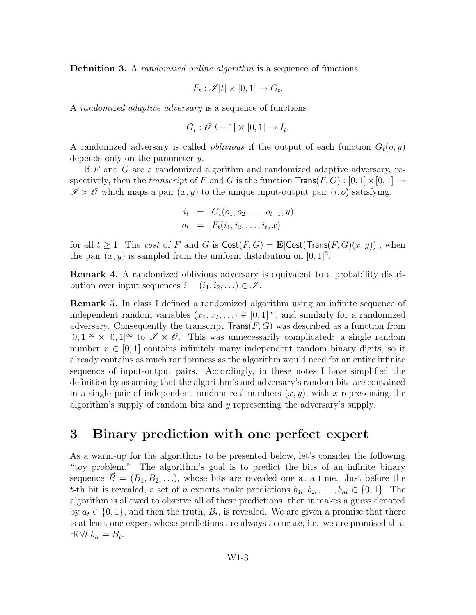**Definition 3.** A *randomized online algorithm* is a sequence of functions

$$
F_t: \mathscr{I}[t] \times [0,1] \to O_t.
$$

A randomized adaptive adversary is a sequence of functions

$$
G_t: \mathscr{O}[t-1] \times [0,1] \to I_t.
$$

A randomized adversary is called *oblivious* if the output of each function  $G_t(o, y)$ depends only on the parameter  $y$ .

If F and G are a randomized algorithm and randomized adaptive adversary, respectively, then the *transcript* of F and G is the function  $\text{Trans}(F, G) : [0, 1] \times [0, 1] \rightarrow$  $\mathscr{I} \times \mathscr{O}$  which maps a pair  $(x, y)$  to the unique input-output pair  $(i, o)$  satisfying:

$$
i_t = G_t(o_1, o_2, \dots, o_{t-1}, y)
$$
  

$$
o_t = F_t(i_1, i_2, \dots, i_t, x)
$$

for all  $t > 1$ . The cost of F and G is  $\textsf{Cost}(F, G) = \mathbf{E}[\textsf{Cost}(\textsf{Trans}(F, G)(x, y))],$  when the pair  $(x, y)$  is sampled from the uniform distribution on  $[0, 1]^2$ .

Remark 4. A randomized oblivious adversary is equivalent to a probability distribution over input sequences  $i = (i_1, i_2, \ldots) \in \mathcal{I}$ .

Remark 5. In class I defined a randomized algorithm using an infinite sequence of independent random variables  $(x_1, x_2, ...) \in [0, 1]^\infty$ , and similarly for a randomized adversary. Consequently the transcript  $Trans(F, G)$  was described as a function from  $[0,1]^\infty \times [0,1]^\infty$  to  $\mathscr{I} \times \mathscr{O}$ . This was unnecessarily complicated: a single random number  $x \in [0, 1]$  contains infinitely many independent random binary digits, so it already contains as much randomness as the algorithm would need for an entire infinite sequence of input-output pairs. Accordingly, in these notes I have simplified the definition by assuming that the algorithm's and adversary's random bits are contained in a single pair of independent random real numbers  $(x, y)$ , with x representing the algorithm's supply of random bits and y representing the adversary's supply.

#### 3 Binary prediction with one perfect expert

As a warm-up for the algorithms to be presented below, let's consider the following "toy problem." The algorithm's goal is to predict the bits of an infinite binary sequence  $\vec{B} = (B_1, B_2, \ldots)$ , whose bits are revealed one at a time. Just before the t-th bit is revealed, a set of n experts make predictions  $b_{1t}, b_{2t}, \ldots, b_{nt} \in \{0, 1\}$ . The algorithm is allowed to observe all of these predictions, then it makes a guess denoted by  $a_t \in \{0, 1\}$ , and then the truth,  $B_t$ , is revealed. We are given a promise that there is at least one expert whose predictions are always accurate, i.e. we are promised that  $\exists i \, \forall t \, b_{it} = B_t.$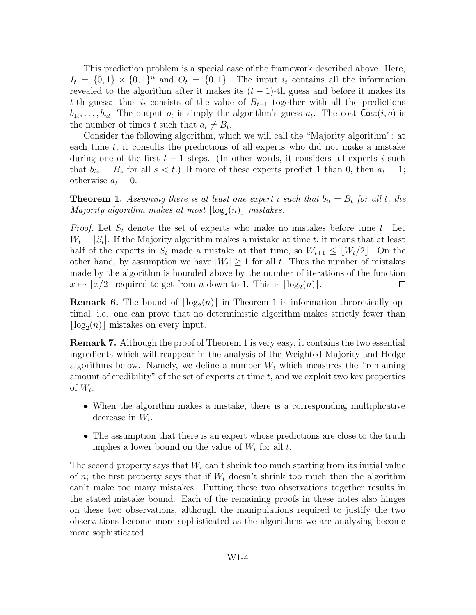This prediction problem is a special case of the framework described above. Here,  $I_t = \{0,1\} \times \{0,1\}^n$  and  $O_t = \{0,1\}$ . The input  $i_t$  contains all the information revealed to the algorithm after it makes its  $(t-1)$ -th guess and before it makes its t-th guess: thus  $i_t$  consists of the value of  $B_{t-1}$  together with all the predictions  $b_{1t}, \ldots, b_{nt}$ . The output  $o_t$  is simply the algorithm's guess  $a_t$ . The cost  $Cost(i, o)$  is the number of times t such that  $a_t \neq B_t$ .

Consider the following algorithm, which we will call the "Majority algorithm": at each time  $t$ , it consults the predictions of all experts who did not make a mistake during one of the first  $t - 1$  steps. (In other words, it considers all experts i such that  $b_{is} = B_s$  for all  $s < t$ .) If more of these experts predict 1 than 0, then  $a_t = 1$ ; otherwise  $a_t = 0$ .

**Theorem 1.** Assuming there is at least one expert i such that  $b_{it} = B_t$  for all t, the Majority algorithm makes at most  $\lfloor \log_2(n) \rfloor$  mistakes.

*Proof.* Let  $S_t$  denote the set of experts who make no mistakes before time t. Let  $W_t = |S_t|$ . If the Majority algorithm makes a mistake at time t, it means that at least half of the experts in  $S_t$  made a mistake at that time, so  $W_{t+1} \leq |W_t/2|$ . On the other hand, by assumption we have  $|W_t| \geq 1$  for all t. Thus the number of mistakes made by the algorithm is bounded above by the number of iterations of the function  $x \mapsto \lfloor x/2 \rfloor$  required to get from *n* down to 1. This is  $\lfloor \log_2(n) \rfloor$ .  $\Box$ 

**Remark 6.** The bound of  $\lfloor \log_2(n) \rfloor$  in Theorem 1 is information-theoretically optimal, i.e. one can prove that no deterministic algorithm makes strictly fewer than  $\lfloor \log_2(n) \rfloor$  mistakes on every input.

**Remark 7.** Although the proof of Theorem 1 is very easy, it contains the two essential ingredients which will reappear in the analysis of the Weighted Majority and Hedge algorithms below. Namely, we define a number  $W_t$  which measures the "remaining" amount of credibility" of the set of experts at time  $t$ , and we exploit two key properties of  $W_t$ :

- When the algorithm makes a mistake, there is a corresponding multiplicative decrease in  $W_t$ .
- The assumption that there is an expert whose predictions are close to the truth implies a lower bound on the value of  $W_t$  for all  $t$ .

The second property says that  $W_t$  can't shrink too much starting from its initial value of n; the first property says that if  $W_t$  doesn't shrink too much then the algorithm can't make too many mistakes. Putting these two observations together results in the stated mistake bound. Each of the remaining proofs in these notes also hinges on these two observations, although the manipulations required to justify the two observations become more sophisticated as the algorithms we are analyzing become more sophisticated.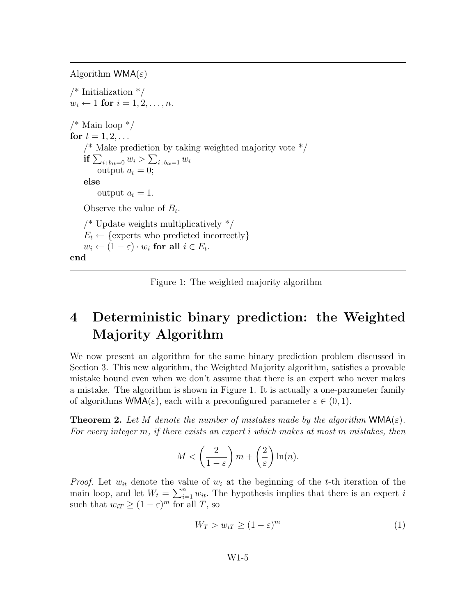Algorithm  $WMA(\varepsilon)$  $/*$  Initialization  $*/$  $w_i \leftarrow 1$  for  $i = 1, 2, \ldots, n$ .  $/*$  Main loop  $*/$ for  $t = 1, 2, ...$  $\frac{1}{2}$  Make prediction by taking weighted majority vote  $\frac{1}{2}$ if  $\sum_{i \,:\, b_{it}=0} w_i > \sum_{i \,:\, b_{it}=1} w_i$ output  $a_t = 0$ ; else output  $a_t = 1$ . Observe the value of  $B_t$ . /\* Update weights multiplicatively \*/  $E_t \leftarrow {\text{exports who predicted incorrectly}}$  $w_i \leftarrow (1 - \varepsilon) \cdot w_i$  for all  $i \in E_t$ . end

Figure 1: The weighted majority algorithm

# 4 Deterministic binary prediction: the Weighted Majority Algorithm

We now present an algorithm for the same binary prediction problem discussed in Section 3. This new algorithm, the Weighted Majority algorithm, satisfies a provable mistake bound even when we don't assume that there is an expert who never makes a mistake. The algorithm is shown in Figure 1. It is actually a one-parameter family of algorithms  $\mathsf{WMA}(\varepsilon)$ , each with a preconfigured parameter  $\varepsilon \in (0,1)$ .

**Theorem 2.** Let M denote the number of mistakes made by the algorithm  $WMA(\varepsilon)$ . For every integer m, if there exists an expert i which makes at most m mistakes, then

$$
M < \left(\frac{2}{1-\varepsilon}\right)m + \left(\frac{2}{\varepsilon}\right)\ln(n).
$$

*Proof.* Let  $w_{it}$  denote the value of  $w_i$  at the beginning of the t-th iteration of the main loop, and let  $W_t = \sum_{i=1}^n w_{it}$ . The hypothesis implies that there is an expert i such that  $w_{iT} \ge (1 - \varepsilon)^m$  for all T, so

$$
W_T > w_{iT} \ge (1 - \varepsilon)^m \tag{1}
$$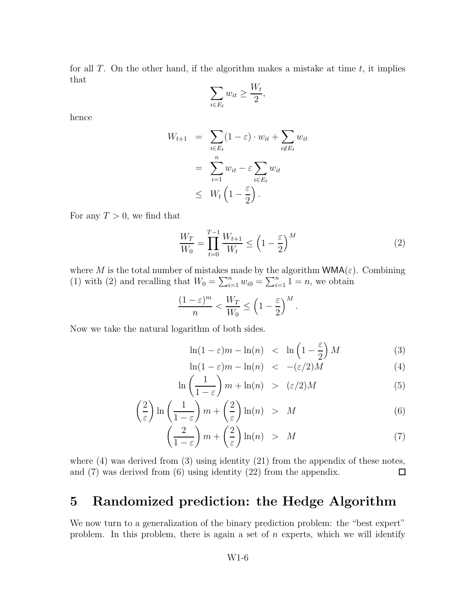for all  $T$ . On the other hand, if the algorithm makes a mistake at time  $t$ , it implies that  $\overline{\mathbf{r}}$ 

$$
\sum_{i \in E_t} w_{it} \ge \frac{W_t}{2},
$$

hence

$$
W_{t+1} = \sum_{i \in E_t} (1 - \varepsilon) \cdot w_{it} + \sum_{i \notin E_t} w_{it}
$$
  
= 
$$
\sum_{i=1}^n w_{it} - \varepsilon \sum_{i \in E_t} w_{it}
$$
  

$$
\leq W_t \left(1 - \frac{\varepsilon}{2}\right).
$$

For any  $T > 0$ , we find that

$$
\frac{W_T}{W_0} = \prod_{t=0}^{T-1} \frac{W_{t+1}}{W_t} \le \left(1 - \frac{\varepsilon}{2}\right)^M
$$
\n(2)

where M is the total number of mistakes made by the algorithm  $WMA(\varepsilon)$ . Combining (1) with (2) and recalling that  $W_0 = \sum_{i=1}^n w_{i0} = \sum_{i=1}^n 1 = n$ , we obtain

$$
\frac{(1-\varepsilon)^m}{n} < \frac{W_T}{W_0} \le \left(1 - \frac{\varepsilon}{2}\right)^M
$$

Now we take the natural logarithm of both sides.

$$
\ln(1-\varepsilon)m - \ln(n) < \ln\left(1-\frac{\varepsilon}{2}\right)M\tag{3}
$$

.

$$
\ln(1 - \varepsilon)m - \ln(n) \quad < \quad -(\varepsilon/2)M \tag{4}
$$

$$
\ln\left(\frac{1}{1-\varepsilon}\right)m + \ln(n) > (\varepsilon/2)M \tag{5}
$$

$$
\left(\frac{2}{\varepsilon}\right) \ln\left(\frac{1}{1-\varepsilon}\right) m + \left(\frac{2}{\varepsilon}\right) \ln(n) > M \tag{6}
$$

$$
\left(\frac{2}{1-\varepsilon}\right)m + \left(\frac{2}{\varepsilon}\right)\ln(n) > M \tag{7}
$$

where  $(4)$  was derived from  $(3)$  using identity  $(21)$  from the appendix of these notes, and (7) was derived from (6) using identity (22) from the appendix.  $\Box$ 

## 5 Randomized prediction: the Hedge Algorithm

We now turn to a generalization of the binary prediction problem: the "best expert" problem. In this problem, there is again a set of  $n$  experts, which we will identify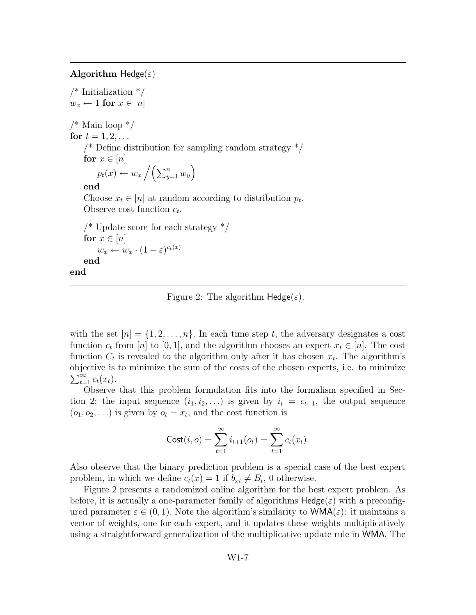#### Algorithm Hedge( $\varepsilon$ )

 $\frac{1}{2}$  Initialization  $\frac{1}{2}$  $w_x \leftarrow 1$  for  $x \in [n]$ 

```
/* Main loop */for t = 1, 2, ...\frac{1}{2} Define distribution for sampling random strategy \frac{1}{2}for x \in [n]p_t(x) \leftarrow w_x \left/ \left( \sum_{y=1}^n w_y \right) \right.end
 Choose x_t \in [n] at random according to distribution p_t.
 Observe cost function c_t.
\frac{1}{2} Update score for each strategy \frac{1}{2}for x \in [n]w_x \leftarrow w_x \cdot (1 - \varepsilon)^{c_t(x)}end
```
end

Figure 2: The algorithm  $Hedge(\varepsilon)$ .

with the set  $[n] = \{1, 2, \ldots, n\}$ . In each time step t, the adversary designates a cost function  $c_t$  from [n] to [0, 1], and the algorithm chooses an expert  $x_t \in [n]$ . The cost function  $C_t$  is revealed to the algorithm only after it has chosen  $x_t$ . The algorithm's ob jective is to minimize the sum of the costs of the chosen experts, i.e. to minimize  $\sum_{t=1}^{\infty} c_t(x_t)$ .

Observe that this problem formulation fits into the formalism specified in Section 2; the input sequence  $(i_1, i_2, \ldots)$  is given by  $i_t = c_{t-1}$ , the output sequence  $(o_1, o_2, \ldots)$  is given by  $o_t = x_t$ , and the cost function is

Cost
$$
(i, o)
$$
 =  $\sum_{t=1}^{\infty} i_{t+1}(o_t) = \sum_{t=1}^{\infty} c_t(x_t).$ 

Also observe that the binary prediction problem is a special case of the best expert problem, in which we define  $c_t(x) = 1$  if  $b_{xt} \neq B_t$ , 0 otherwise.

Figure 2 presents a randomized online algorithm for the best expert problem. As before, it is actually a one-parameter family of algorithms  $\textsf{Hedge}(\varepsilon)$  with a preconfigured parameter  $\varepsilon \in (0,1)$ . Note the algorithm's similarity to WMA( $\varepsilon$ ): it maintains a vector of weights, one for each expert, and it updates these weights multiplicatively using a straightforward generalization of the multiplicative update rule in WMA. The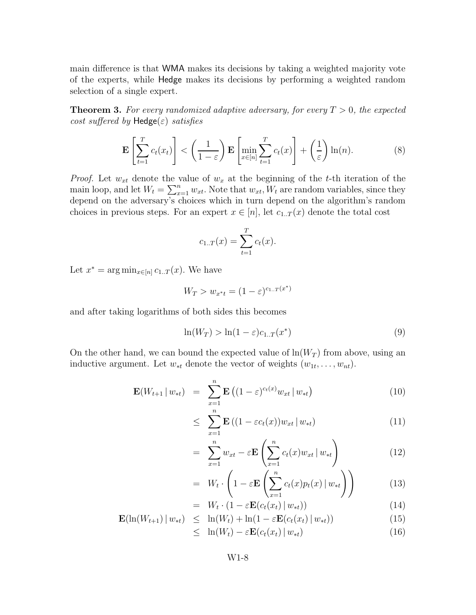main difference is that WMA makes its decisions by taking a weighted majority vote of the experts, while Hedge makes its decisions by performing a weighted random selection of a single expert.

**Theorem 3.** For every randomized adaptive adversary, for every  $T > 0$ , the expected cost suffered by  $H$ edge( $\varepsilon$ ) satisfies

$$
\mathbf{E}\left[\sum_{t=1}^{T}c_t(x_t)\right] < \left(\frac{1}{1-\varepsilon}\right)\mathbf{E}\left[\min_{x\in[n]}\sum_{t=1}^{T}c_t(x)\right] + \left(\frac{1}{\varepsilon}\right)\ln(n). \tag{8}
$$

*Proof.* Let  $w_{xt}$  denote the value of  $w_x$  at the beginning of the t-th iteration of the main loop, and let  $W_t = \sum_{x=1}^n w_{xt}$ . Note that  $w_{xt}$ ,  $W_t$  are random variables, since they depend on the adversary's choices which in turn depend on the algorithm's random choices in previous steps. For an expert  $x \in [n]$ , let  $c_{1,T}(x)$  denote the total cost

$$
c_{1..T}(x) = \sum_{t=1}^{T} c_t(x).
$$

Let  $x^* = \arg \min_{x \in [n]} c_{1..T}(x)$ . We have

$$
W_T > w_{x^*t} = (1 - \varepsilon)^{c_{1..T}(x^*)}
$$

and after taking logarithms of both sides this becomes

$$
\ln(W_T) > \ln(1 - \varepsilon)c_{1..T}(x^*)\tag{9}
$$

On the other hand, we can bound the expected value of  $\ln(W_T)$  from above, using an inductive argument. Let  $w_{*t}$  denote the vector of weights  $(w_{1t}, \ldots, w_{nt})$ .

$$
\mathbf{E}(W_{t+1} | w_{*t}) = \sum_{x=1}^{n} \mathbf{E} ((1 - \varepsilon)^{c_t(x)} w_{xt} | w_{*t})
$$
\n(10)

$$
\leq \sum_{x=1}^{n} \mathbf{E} \left( (1 - \varepsilon c_t(x)) w_{xt} \, | \, w_{*t} \right) \tag{11}
$$

$$
= \sum_{x=1}^{n} w_{xt} - \varepsilon \mathbf{E} \left( \sum_{x=1}^{n} c_t(x) w_{xt} \, | \, w_{*t} \right) \tag{12}
$$

$$
= W_t \cdot \left(1 - \varepsilon \mathbf{E} \left( \sum_{x=1}^n c_t(x) p_t(x) \mid w_{*t} \right) \right)
$$
  

$$
= W_t \cdot (1 - \varepsilon \mathbf{E} (c_t(x_t) \mid w_{*t})) \tag{14}
$$

$$
W_t \cdot (1 - \varepsilon \mathbf{E}(c_t(x_t) \mid w_{*t})) \tag{14}
$$

$$
\mathbf{E}(\ln(W_{t+1}) \mid w_{*t}) \leq \ln(W_t) + \ln(1 - \varepsilon \mathbf{E}(c_t(x_t) \mid w_{*t})) \tag{15}
$$

$$
\leq \ln(W_t) - \varepsilon \mathbf{E}(c_t(x_t) \,|\, w_{*t}) \tag{16}
$$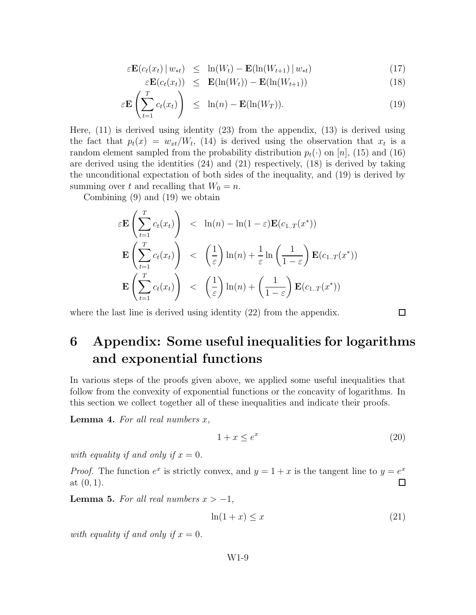$$
\varepsilon \mathbf{E}(c_t(x_t) \mid w_{*t}) \leq \ln(W_t) - \mathbf{E}(\ln(W_{t+1}) \mid w_{*t}) \tag{17}
$$

$$
\varepsilon \mathbf{E}(c_t(x_t)) \leq \mathbf{E}(\ln(W_t)) - \mathbf{E}(\ln(W_{t+1})) \tag{18}
$$

$$
\varepsilon \mathbf{E} \left( \sum_{t=1}^{T} c_t(x_t) \right) \leq \ln(n) - \mathbf{E} (\ln(W_T)). \tag{19}
$$

Here,  $(11)$  is derived using identity  $(23)$  from the appendix,  $(13)$  is derived using the fact that  $p_t(x) = w_{xt}/W_t$ , (14) is derived using the observation that  $x_t$  is a random element sampled from the probability distribution  $p_t(\cdot)$  on [n], (15) and (16) are derived using the identities (24) and (21) respectively, (18) is derived by taking the unconditional expectation of both sides of the inequality, and (19) is derived by summing over t and recalling that  $W_0 = n$ .

Combining (9) and (19) we obtain

$$
\varepsilon \mathbf{E} \left( \sum_{t=1}^{T} c_t(x_t) \right) < \ln(n) - \ln(1 - \varepsilon) \mathbf{E}(c_{1..T}(x^*))
$$
  
\n
$$
\mathbf{E} \left( \sum_{t=1}^{T} c_t(x_t) \right) < \left( \frac{1}{\varepsilon} \right) \ln(n) + \frac{1}{\varepsilon} \ln \left( \frac{1}{1 - \varepsilon} \right) \mathbf{E}(c_{1..T}(x^*))
$$
  
\n
$$
\mathbf{E} \left( \sum_{t=1}^{T} c_t(x_t) \right) < \left( \frac{1}{\varepsilon} \right) \ln(n) + \left( \frac{1}{1 - \varepsilon} \right) \mathbf{E}(c_{1..T}(x^*))
$$

where the last line is derived using identity  $(22)$  from the appendix.

#### $\Box$

# 6 Appendix: Some useful inequalities for logarithms and exponential functions

In various steps of the proofs given above, we applied some useful inequalities that follow from the convexity of exponential functions or the concavity of logarithms. In this section we collect together all of these inequalities and indicate their proofs.

**Lemma 4.** For all real numbers  $x$ ,

$$
1 + x \le e^x \tag{20}
$$

with equality if and only if  $x = 0$ .

*Proof.* The function  $e^x$  is strictly convex, and  $y = 1 + x$  is the tangent line to  $y = e^x$ at  $(0, 1)$ .  $\Box$ 

**Lemma 5.** For all real numbers  $x > -1$ ,

$$
\ln(1+x) \le x \tag{21}
$$

with equality if and only if  $x = 0$ .